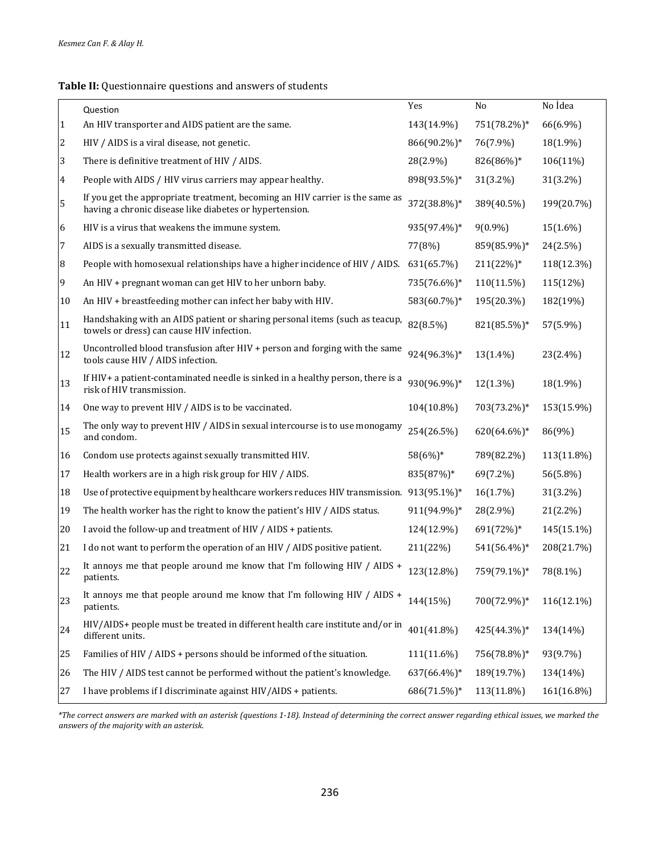## **Table II:** Questionnaire questions and answers of students

|                | Question                                                                                                                                | Yes         | No           | No İdea    |
|----------------|-----------------------------------------------------------------------------------------------------------------------------------------|-------------|--------------|------------|
| 1              | An HIV transporter and AIDS patient are the same.                                                                                       | 143(14.9%)  | 751(78.2%)*  | 66(6.9%)   |
| $\overline{c}$ | HIV / AIDS is a viral disease, not genetic.                                                                                             | 866(90.2%)* | 76(7.9%)     | 18(1.9%)   |
| 3              | There is definitive treatment of HIV / AIDS.                                                                                            | 28(2.9%)    | 826(86%)*    | 106(11%)   |
| $\overline{4}$ | People with AIDS / HIV virus carriers may appear healthy.                                                                               | 898(93.5%)* | 31(3.2%)     | 31(3.2%)   |
| 5              | If you get the appropriate treatment, becoming an HIV carrier is the same as<br>having a chronic disease like diabetes or hypertension. | 372(38.8%)* | 389(40.5%)   | 199(20.7%) |
| 6              | HIV is a virus that weakens the immune system.                                                                                          | 935(97.4%)* | $9(0.9\%)$   | 15(1.6%)   |
| 7              | AIDS is a sexually transmitted disease.                                                                                                 | 77(8%)      | 859(85.9%)*  | 24(2.5%)   |
| 8              | People with homosexual relationships have a higher incidence of HIV / AIDS.                                                             | 631(65.7%)  | $211(22%)$ * | 118(12.3%) |
| 9              | An HIV + pregnant woman can get HIV to her unborn baby.                                                                                 | 735(76.6%)* | 110(11.5%)   | 115(12%)   |
| 10             | An HIV + breastfeeding mother can infect her baby with HIV.                                                                             | 583(60.7%)* | 195(20.3%)   | 182(19%)   |
| 11             | Handshaking with an AIDS patient or sharing personal items (such as teacup,<br>towels or dress) can cause HIV infection.                | 82(8.5%)    | 821(85.5%)*  | 57(5.9%)   |
| 12             | Uncontrolled blood transfusion after HIV + person and forging with the same<br>tools cause HIV / AIDS infection.                        | 924(96.3%)* | 13(1.4%)     | 23(2.4%)   |
| 13             | If HIV+ a patient-contaminated needle is sinked in a healthy person, there is a<br>risk of HIV transmission.                            | 930(96.9%)* | 12(1.3%)     | 18(1.9%)   |
| 14             | One way to prevent HIV / AIDS is to be vaccinated.                                                                                      | 104(10.8%)  | 703(73.2%)*  | 153(15.9%) |
| 15             | The only way to prevent HIV / AIDS in sexual intercourse is to use monogamy<br>and condom.                                              | 254(26.5%)  | 620(64.6%)*  | 86(9%)     |
| 16             | Condom use protects against sexually transmitted HIV.                                                                                   | 58(6%)*     | 789(82.2%)   | 113(11.8%) |
| 17             | Health workers are in a high risk group for HIV / AIDS.                                                                                 | 835(87%)*   | 69(7.2%)     | 56(5.8%)   |
| 18             | Use of protective equipment by healthcare workers reduces HIV transmission. 913(95.1%)*                                                 |             | 16(1.7%)     | 31(3.2%)   |
| 19             | The health worker has the right to know the patient's HIV / AIDS status.                                                                | 911(94.9%)* | 28(2.9%)     | 21(2.2%)   |
| 20             | I avoid the follow-up and treatment of HIV / AIDS + patients.                                                                           | 124(12.9%)  | 691(72%)*    | 145(15.1%) |
| 21             | I do not want to perform the operation of an HIV / AIDS positive patient.                                                               | 211(22%)    | 541(56.4%)*  | 208(21.7%) |
| 22             | It annoys me that people around me know that I'm following HIV / AIDS +<br>patients.                                                    | 123(12.8%)  | 759(79.1%)*  | 78(8.1%)   |
| 23             | It annoys me that people around me know that I'm following HIV / AIDS +<br>patients.                                                    | 144(15%)    | 700(72.9%)*  | 116(12.1%) |
| 24             | HIV/AIDS+ people must be treated in different health care institute and/or in<br>different units.                                       | 401(41.8%)  | 425(44.3%)*  | 134(14%)   |
| 25             | Families of HIV / AIDS + persons should be informed of the situation.                                                                   | 111(11.6%)  | 756(78.8%)*  | 93(9.7%)   |
| 26             | The HIV / AIDS test cannot be performed without the patient's knowledge.                                                                | 637(66.4%)* | 189(19.7%)   | 134(14%)   |
| 27             | I have problems if I discriminate against HIV/AIDS + patients.                                                                          | 686(71.5%)* | 113(11.8%)   | 161(16.8%) |

*\*The correct answers are marked with an asterisk (questions 1-18). Instead of determining the correct answer regarding ethical issues, we marked the answers of the majority with an asterisk.*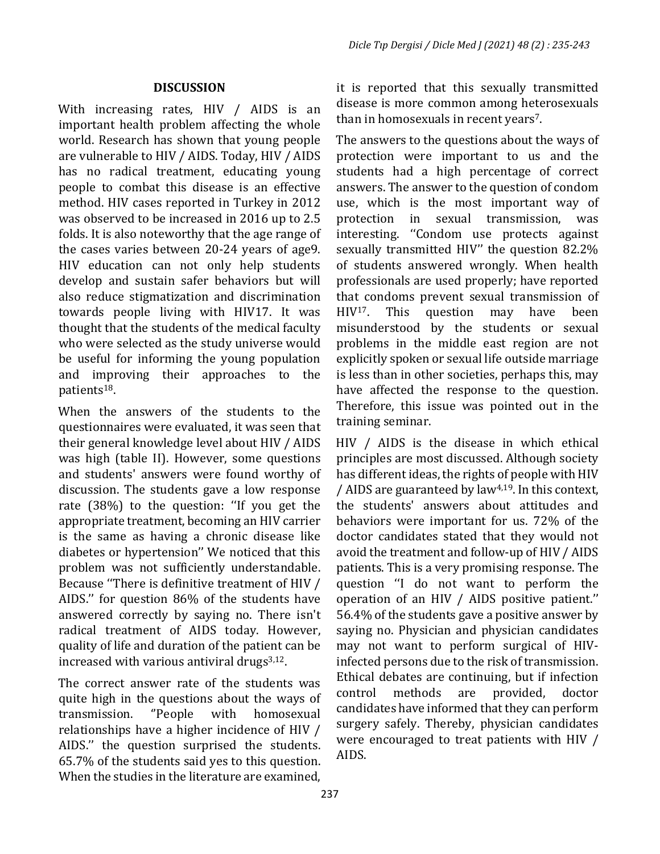## **DISCUSSION**

With increasing rates, HIV / AIDS is an important health problem affecting the whole world. Research has shown that young people are vulnerable to HIV / AIDS. Today, HIV / AIDS has no radical treatment, educating young people to combat this disease is an effective method. HIV cases reported in Turkey in 2012 was observed to be increased in 2016 up to 2.5 folds. It is also noteworthy that the age range of the cases varies between 20-24 years of age9. HIV education can not only help students develop and sustain safer behaviors but will also reduce stigmatization and discrimination towards people living with HIV17. It was thought that the students of the medical faculty who were selected as the study universe would be useful for informing the young population and improving their approaches to the patients18.

When the answers of the students to the questionnaires were evaluated, it was seen that their general knowledge level about HIV / AIDS was high (table II). However, some questions and students' answers were found worthy of discussion. The students gave a low response rate (38%) to the question: ''If you get the appropriate treatment, becoming an HIV carrier is the same as having a chronic disease like diabetes or hypertension'' We noticed that this problem was not sufficiently understandable. Because ''There is definitive treatment of HIV / AIDS.'' for question 86% of the students have answered correctly by saying no. There isn't radical treatment of AIDS today. However, quality of life and duration of the patient can be increased with various antiviral drugs<sup>3,12</sup>.

The correct answer rate of the students was quite high in the questions about the ways of<br>transmission. "People with homosexual transmission. relationships have a higher incidence of HIV / AIDS.'' the question surprised the students. 65.7% of the students said yes to this question. When the studies in the literature are examined,

it is reported that this sexually transmitted disease is more common among heterosexuals than in homosexuals in recent years<sup>7</sup>.

The answers to the questions about the ways of protection were important to us and the students had a high percentage of correct answers. The answer to the question of condom use, which is the most important way of protection in sexual transmission, was sexual transmission, was interesting. ''Condom use protects against sexually transmitted HIV'' the question 82.2% of students answered wrongly. When health professionals are used properly; have reported that condoms prevent sexual transmission of<br>HIV<sup>17</sup>. This question may have been question may have been misunderstood by the students or sexual problems in the middle east region are not explicitly spoken or sexual life outside marriage is less than in other societies, perhaps this, may have affected the response to the question. Therefore, this issue was pointed out in the training seminar.

HIV / AIDS is the disease in which ethical principles are most discussed. Although society has different ideas, the rights of people with HIV / AIDS are guaranteed by law4,19. In this context, the students' answers about attitudes and behaviors were important for us. 72% of the doctor candidates stated that they would not avoid the treatment and follow-up of HIV / AIDS patients. This is a very promising response. The question ''I do not want to perform the operation of an HIV / AIDS positive patient.'' 56.4% of the students gave a positive answer by saying no. Physician and physician candidates may not want to perform surgical of HIVinfected persons due to the risk of transmission. Ethical debates are continuing, but if infection<br>control methods are provided, doctor provided, candidates have informed that they can perform surgery safely. Thereby, physician candidates were encouraged to treat patients with HIV / AIDS.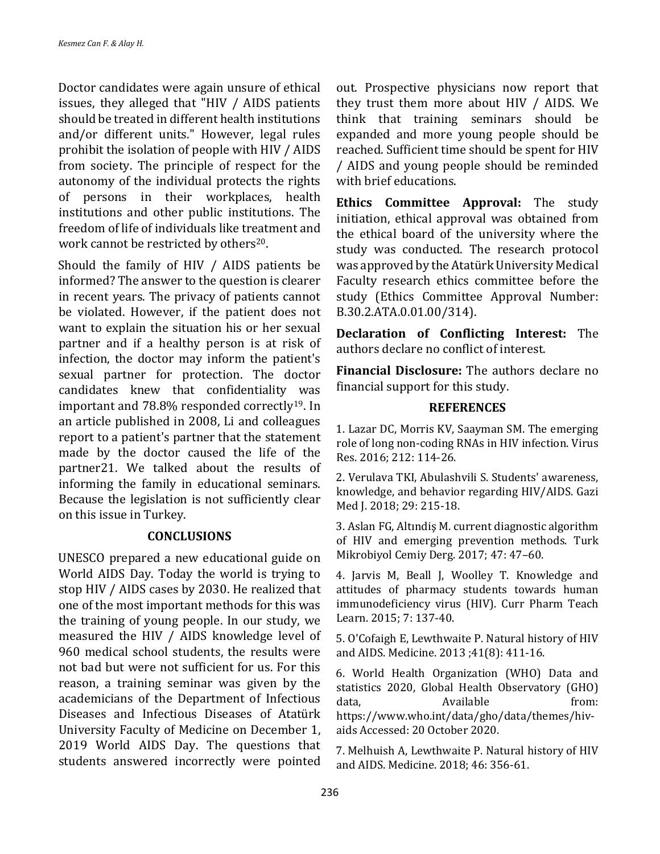Doctor candidates were again unsure of ethical issues, they alleged that "HIV / AIDS patients should be treated in different health institutions and/or different units." However, legal rules prohibit the isolation of people with HIV / AIDS from society. The principle of respect for the autonomy of the individual protects the rights of persons in their workplaces, health institutions and other public institutions. The freedom of life of individuals like treatment and work cannot be restricted by others<sup>20</sup>.

Should the family of HIV / AIDS patients be informed? The answer to the question is clearer in recent years. The privacy of patients cannot be violated. However, if the patient does not want to explain the situation his or her sexual partner and if a healthy person is at risk of infection, the doctor may inform the patient's sexual partner for protection. The doctor candidates knew that confidentiality was important and 78.8% responded correctly19. In an article published in 2008, Li and colleagues report to a patient's partner that the statement made by the doctor caused the life of the partner21. We talked about the results of informing the family in educational seminars. Because the legislation is not sufficiently clear on this issue in Turkey.

## **CONCLUSIONS**

UNESCO prepared a new educational guide on World AIDS Day. Today the world is trying to stop HIV / AIDS cases by 2030. He realized that one of the most important methods for this was the training of young people. In our study, we measured the HIV / AIDS knowledge level of 960 medical school students, the results were not bad but were not sufficient for us. For this reason, a training seminar was given by the academicians of the Department of Infectious Diseases and Infectious Diseases of Atatürk University Faculty of Medicine on December 1, 2019 World AIDS Day. The questions that students answered incorrectly were pointed

out. Prospective physicians now report that they trust them more about HIV / AIDS. We think that training seminars should be expanded and more young people should be reached. Sufficient time should be spent for HIV / AIDS and young people should be reminded with brief educations.

**Ethics Committee Approval:** The study initiation, ethical approval was obtained from the ethical board of the university where the study was conducted. The research protocol was approved by the Atatürk University Medical Faculty research ethics committee before the study (Ethics Committee Approval Number: B.30.2.ATA.0.01.00/314).

**Declaration of Conflicting Interest:** The authors declare no conflict of interest.

**Financial Disclosure:** The authors declare no financial support for this study.

## **REFERENCES**

1. Lazar DC, Morris KV, Saayman SM. The emerging role of long non-coding RNAs in HIV infection. Virus Res. 2016; 212: 114-26.

2. Verulava TKI, Abulashvili S. Students' awareness, knowledge, and behavior regarding HIV/AIDS. Gazi Med J. 2018; 29: 215-18.

3. Aslan FG, Altındiş M. current diagnostic algorithm of HIV and emerging prevention methods. Turk Mikrobiyol Cemiy Derg. 2017; 47: 47–60.

4. Jarvis M, Beall J, Woolley T. Knowledge and attitudes of pharmacy students towards human immunodeficiency virus (HIV). Curr Pharm Teach Learn. 2015; 7: 137-40.

5. O'Cofaigh E, Lewthwaite P. Natural history of HIV and AIDS. Medicine. 2013 ;41(8): 411-16.

6. World Health Organization (WHO) Data and statistics 2020, Global Health Observatory (GHO)<br>data, *Available* from: data, Available from: https://www.who.int/data/gho/data/themes/hivaids Accessed: 20 October 2020.

7. Melhuish A, Lewthwaite P. Natural history of HIV and AIDS. Medicine. 2018; 46: 356-61.